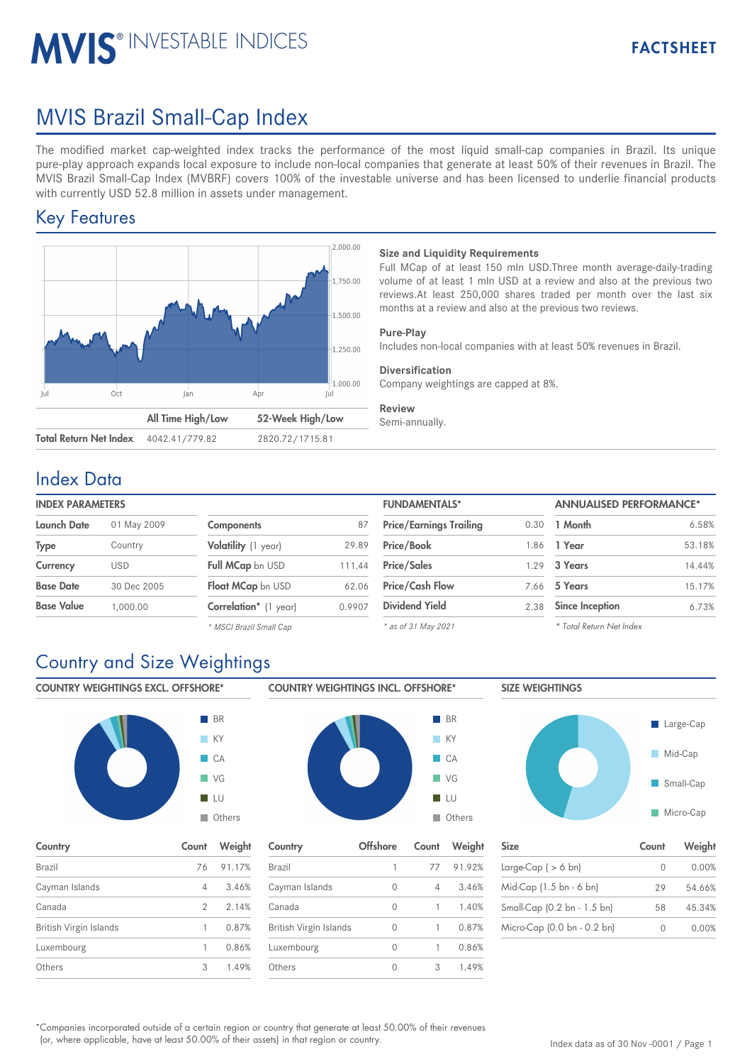# MVIS Brazil Small-Cap Index

**MVIS® INVESTABLE INDICES** 

The modified market cap-weighted index tracks the performance of the most liquid small-cap companies in Brazil. Its unique pure-play approach expands local exposure to include non-local companies that generate at least 50% of their revenues in Brazil. The MVIS Brazil Small-Cap Index (MVBRF) covers 100% of the investable universe and has been licensed to underlie financial products with currently USD 52.8 million in assets under management.

### Key Features



#### **Size and Liquidity Requirements**

Full MCap of at least 150 mln USD.Three month average-daily-trading volume of at least 1 mln USD at a review and also at the previous two reviews.At least 250,000 shares traded per month over the last six months at a review and also at the previous two reviews.

FACTSHEET

#### **Pure-Play**

Includes non-local companies with at least 50% revenues in Brazil.

#### **Diversification**

Company weightings are capped at 8%.

### **Review**

Semi-annually.

### Index Data

| <b>INDEX PARAMETERS</b> |                       | <b>FUNDAMENTALS*</b> | <b>ANNUALISED PERFORMANCE*</b> |      |                 |      |
|-------------------------|-----------------------|----------------------|--------------------------------|------|-----------------|------|
| 01 May 2009             | <b>Components</b>     | 87                   | <b>Price/Earnings Trailing</b> | 0.30 | 1 Month         | 6.5  |
| Country                 | Volatility (1 year)   | 29.89                | <b>Price/Book</b>              | .86  | 1 Year          | 53.  |
| USD                     | Full MCap bn USD      | 111.44               | <b>Price/Sales</b>             | .29  | 3 Years         | 14.4 |
| 30 Dec 2005             | Float MCap bn USD     | 62.06                | <b>Price/Cash Flow</b>         | 7.66 | 5 Years         | 15.  |
| 1.000.00                | Correlation* (1 year) | 0.9907               | <b>Dividend Yield</b>          | 2.38 | Since Inception | 6.   |
|                         |                       |                      |                                |      |                 |      |

| <b>FUNDAMENIALS</b>            |      | ANNUALISED PERFORMANCE <sup>*</sup> |        |  |
|--------------------------------|------|-------------------------------------|--------|--|
| <b>Price/Earnings Trailing</b> | 0.30 | 1 Month                             | 6.58%  |  |
| Price/Book                     | 1.86 | 1 Year                              | 53.18% |  |
| <b>Price/Sales</b>             | 1.29 | 3 Years                             | 14.44% |  |
| <b>Price/Cash Flow</b>         |      | 7.66 5 Years                        | 15.17% |  |
| <b>Dividend Yield</b>          | 2.38 | <b>Since Inception</b>              | 6.73%  |  |
| $*$ as of 31 May 2021          |      | * Total Return Net Index            |        |  |

*\* MSCI Brazil Small Cap*

## Country and Size Weightings

COUNTRY WEIGHTINGS EXCL. OFFSHORE\*



| Country                | Count | Weight |
|------------------------|-------|--------|
| Brazil                 | 76    | 91.17% |
| Cayman Islands         | 4     | 3.46%  |
| Canada                 | 2     | 2.14%  |
| British Virgin Islands |       | 0.87%  |
| Luxembourg             | 1     | 0.86%  |
| Others                 | 3     | 1.49%  |



| Country                | Offshore | Count | Weight |
|------------------------|----------|-------|--------|
| Brazil                 | 1        | 77    | 91.92% |
| Cayman Islands         | 0        | 4     | 3.46%  |
| Canada                 | 0        |       | 1.40%  |
| British Virgin Islands | 0        |       | 0.87%  |
| Luxembourg             | Ω        |       | 0.86%  |
| Others                 | 0        | 3     | 1.49%  |





| Country                | <b>Offshore</b> | Count          | Weight    | <b>Size</b>                 | Count    | Weight |
|------------------------|-----------------|----------------|-----------|-----------------------------|----------|--------|
| Brazil                 |                 |                | 77 91.92% | Large-Cap ( $> 6$ bn)       | $\Omega$ | 0.00%  |
| Cayman Islands         |                 | $\overline{4}$ | 3.46%     | Mid-Cap (1.5 bn - 6 bn)     | 29       | 54.66% |
| Canada                 |                 |                | 1.40%     | Small-Cap (0.2 bn - 1.5 bn) | 58       | 45.34% |
| British Virgin Islands |                 |                | 0.87%     | Micro-Cap (0.0 bn - 0.2 bn) |          | 0.00%  |

Companies incorporated outside of a certain region or country that generate at least 50.00% of their revenues \* (or, where applicable, have at least 50.00% of their assets) in that region or country.